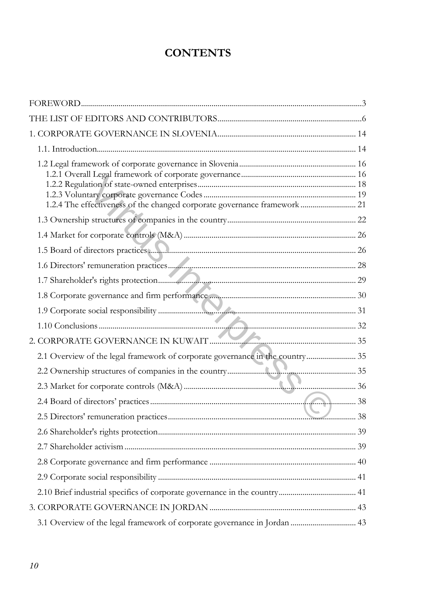## **CONTENTS**

| 1.2.4 The effectiveness of the changed corporate governance framework  21     |  |
|-------------------------------------------------------------------------------|--|
|                                                                               |  |
|                                                                               |  |
|                                                                               |  |
|                                                                               |  |
|                                                                               |  |
|                                                                               |  |
|                                                                               |  |
|                                                                               |  |
|                                                                               |  |
| 2.1 Overview of the legal framework of corporate governance in the country 35 |  |
|                                                                               |  |
|                                                                               |  |
|                                                                               |  |
|                                                                               |  |
|                                                                               |  |
|                                                                               |  |
|                                                                               |  |
|                                                                               |  |
|                                                                               |  |
|                                                                               |  |
| 3.1 Overview of the legal framework of corporate governance in Jordan  43     |  |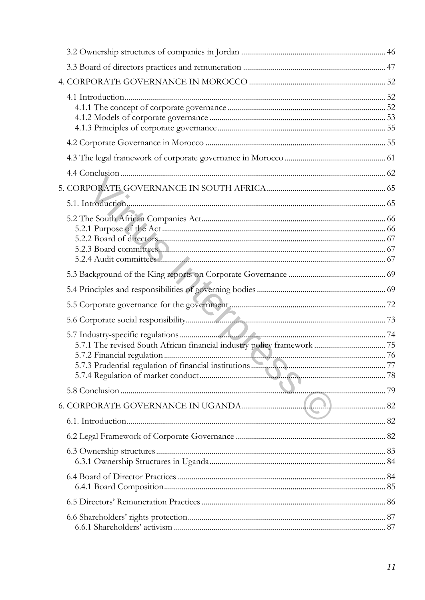| the contract of the contract of the contract of |  |
|-------------------------------------------------|--|
|                                                 |  |
|                                                 |  |
|                                                 |  |
|                                                 |  |
|                                                 |  |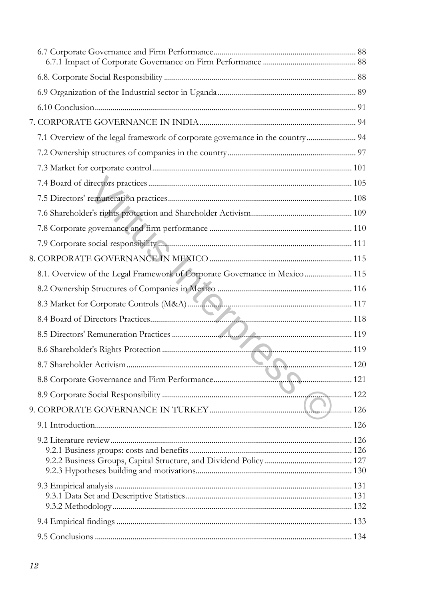| 7.1 Overview of the legal framework of corporate governance in the country 94 |  |
|-------------------------------------------------------------------------------|--|
|                                                                               |  |
|                                                                               |  |
|                                                                               |  |
|                                                                               |  |
|                                                                               |  |
|                                                                               |  |
|                                                                               |  |
|                                                                               |  |
| 8.1. Overview of the Legal Framework of Corporate Governance in Mexico  115   |  |
|                                                                               |  |
|                                                                               |  |
|                                                                               |  |
|                                                                               |  |
|                                                                               |  |
|                                                                               |  |
|                                                                               |  |
|                                                                               |  |
|                                                                               |  |
|                                                                               |  |
|                                                                               |  |
|                                                                               |  |
|                                                                               |  |
|                                                                               |  |
|                                                                               |  |
|                                                                               |  |
|                                                                               |  |
|                                                                               |  |